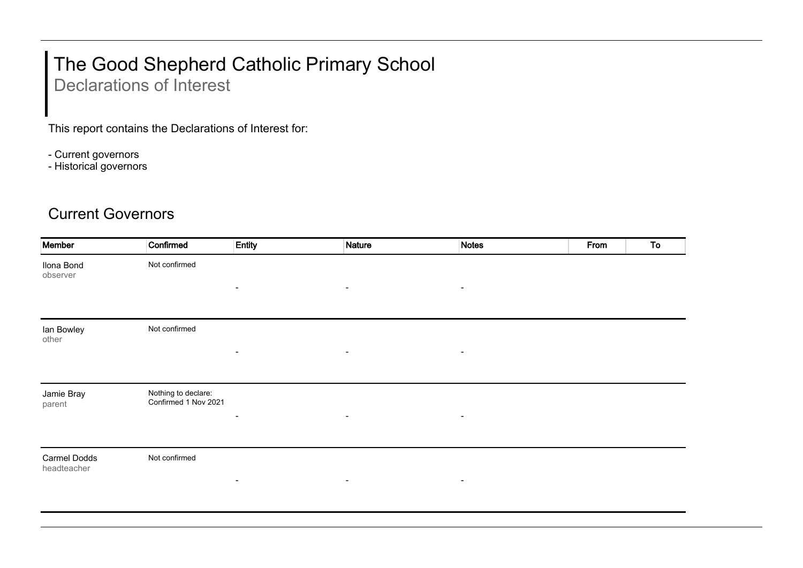## The Good Shepherd Catholic Primary School

Declarations of Interest

This report contains the Declarations of Interest for:

- Current governors

- Historical governors

## Current Governors

| Member                             | Confirmed                                   | Entity                       | <b>Nature</b>            | <b>Notes</b>             | From | To |
|------------------------------------|---------------------------------------------|------------------------------|--------------------------|--------------------------|------|----|
| Ilona Bond<br>observer             | Not confirmed                               |                              |                          |                          |      |    |
|                                    |                                             | $\blacksquare$               | $\overline{\phantom{a}}$ | $\blacksquare$           |      |    |
| lan Bowley<br>other                | Not confirmed                               |                              |                          |                          |      |    |
|                                    |                                             | $\overline{\phantom{a}}$     | $\blacksquare$           | $\blacksquare$           |      |    |
| Jamie Bray<br>parent               | Nothing to declare:<br>Confirmed 1 Nov 2021 | $\blacksquare$               | $\blacksquare$           | $\overline{\phantom{a}}$ |      |    |
|                                    |                                             |                              |                          |                          |      |    |
| <b>Carmel Dodds</b><br>headteacher | Not confirmed                               | $\qquad \qquad \blacksquare$ | $\blacksquare$           | $\blacksquare$           |      |    |
|                                    |                                             |                              |                          |                          |      |    |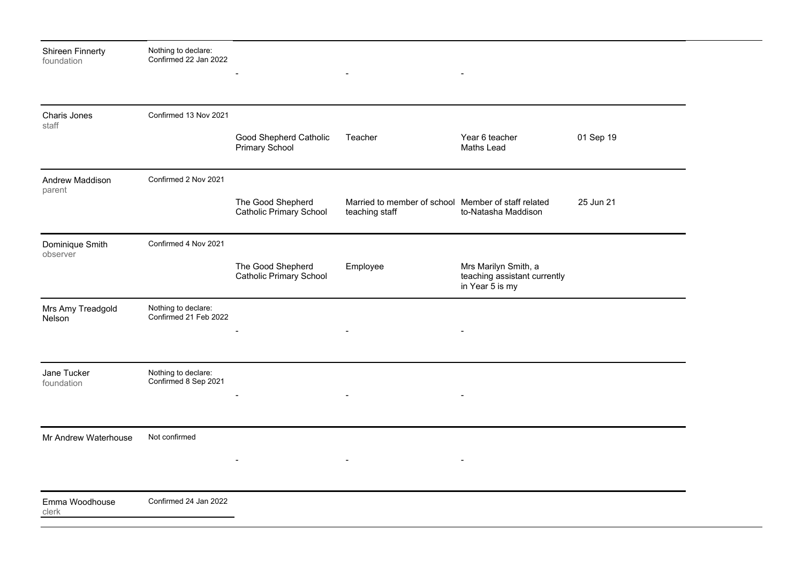| <b>Shireen Finnerty</b><br>foundation | Nothing to declare:<br>Confirmed 22 Jan 2022 |                                                     |                                                                       |                                                                         |           |
|---------------------------------------|----------------------------------------------|-----------------------------------------------------|-----------------------------------------------------------------------|-------------------------------------------------------------------------|-----------|
| Charis Jones<br>staff                 | Confirmed 13 Nov 2021                        |                                                     |                                                                       |                                                                         |           |
|                                       |                                              | Good Shepherd Catholic<br><b>Primary School</b>     | Teacher                                                               | Year 6 teacher<br><b>Maths Lead</b>                                     | 01 Sep 19 |
| Andrew Maddison<br>parent             | Confirmed 2 Nov 2021                         |                                                     |                                                                       |                                                                         |           |
|                                       |                                              | The Good Shepherd<br><b>Catholic Primary School</b> | Married to member of school Member of staff related<br>teaching staff | to-Natasha Maddison                                                     | 25 Jun 21 |
| Dominique Smith<br>observer           | Confirmed 4 Nov 2021                         |                                                     |                                                                       |                                                                         |           |
|                                       |                                              | The Good Shepherd<br><b>Catholic Primary School</b> | Employee                                                              | Mrs Marilyn Smith, a<br>teaching assistant currently<br>in Year 5 is my |           |
| Mrs Amy Treadgold<br>Nelson           | Nothing to declare:<br>Confirmed 21 Feb 2022 |                                                     |                                                                       |                                                                         |           |
|                                       |                                              |                                                     |                                                                       |                                                                         |           |
| Jane Tucker<br>foundation             | Nothing to declare:<br>Confirmed 8 Sep 2021  |                                                     |                                                                       |                                                                         |           |
|                                       |                                              |                                                     |                                                                       |                                                                         |           |
| Mr Andrew Waterhouse                  | Not confirmed                                |                                                     |                                                                       |                                                                         |           |
|                                       |                                              |                                                     |                                                                       |                                                                         |           |
| Emma Woodhouse<br>clerk               | Confirmed 24 Jan 2022                        |                                                     |                                                                       |                                                                         |           |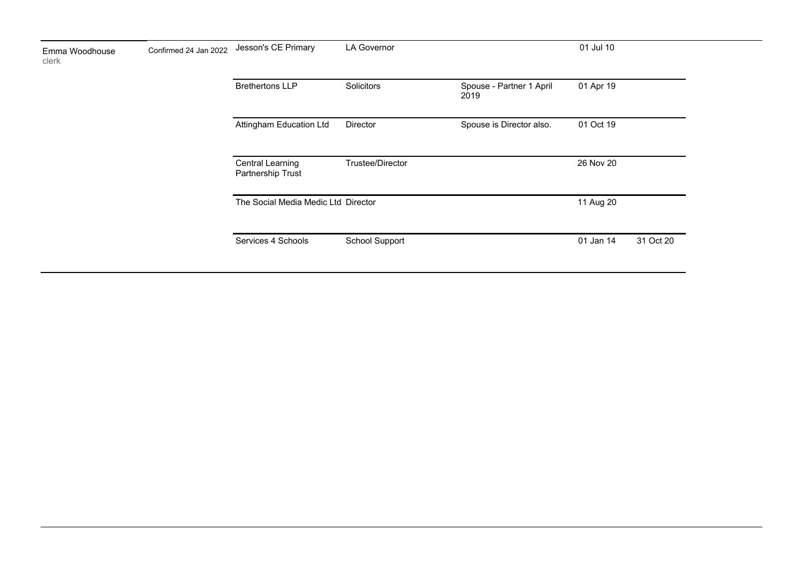| Emma Woodhouse<br>clerk | Confirmed 24 Jan 2022 | Jesson's CE Primary                          | <b>LA Governor</b> |                                  | 01 Jul 10 |           |
|-------------------------|-----------------------|----------------------------------------------|--------------------|----------------------------------|-----------|-----------|
|                         |                       | <b>Brethertons LLP</b>                       | Solicitors         | Spouse - Partner 1 April<br>2019 | 01 Apr 19 |           |
|                         |                       | Attingham Education Ltd                      | Director           | Spouse is Director also.         | 01 Oct 19 |           |
|                         |                       | <b>Central Learning</b><br>Partnership Trust | Trustee/Director   |                                  | 26 Nov 20 |           |
|                         |                       | The Social Media Medic Ltd Director          |                    |                                  | 11 Aug 20 |           |
|                         |                       | Services 4 Schools                           | School Support     |                                  | 01 Jan 14 | 31 Oct 20 |